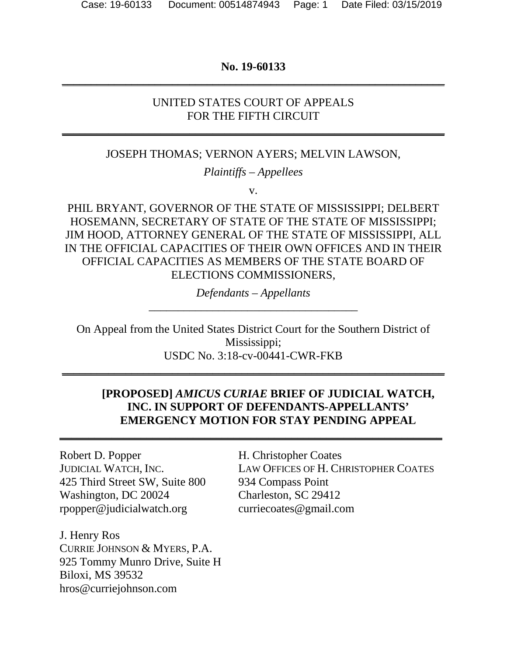## **No. 19-60133 \_\_\_\_\_\_\_\_\_\_\_\_\_\_\_\_\_\_\_\_\_\_\_\_\_\_\_\_\_\_\_\_\_\_\_\_\_\_\_\_\_\_\_\_\_\_\_\_\_\_\_\_\_\_\_\_\_\_\_\_\_\_\_\_\_\_**

## UNITED STATES COURT OF APPEALS FOR THE FIFTH CIRCUIT

**\_\_\_\_\_\_\_\_\_\_\_\_\_\_\_\_\_\_\_\_\_\_\_\_\_\_\_\_\_\_\_\_\_\_\_\_\_\_\_\_\_\_\_\_\_\_\_\_\_\_\_\_\_\_\_\_\_\_\_\_\_\_\_\_\_\_**

### JOSEPH THOMAS; VERNON AYERS; MELVIN LAWSON,

*Plaintiffs – Appellees*

v.

PHIL BRYANT, GOVERNOR OF THE STATE OF MISSISSIPPI; DELBERT HOSEMANN, SECRETARY OF STATE OF THE STATE OF MISSISSIPPI; JIM HOOD, ATTORNEY GENERAL OF THE STATE OF MISSISSIPPI, ALL IN THE OFFICIAL CAPACITIES OF THEIR OWN OFFICES AND IN THEIR OFFICIAL CAPACITIES AS MEMBERS OF THE STATE BOARD OF ELECTIONS COMMISSIONERS,

> *Defendants – Appellants* \_\_\_\_\_\_\_\_\_\_\_\_\_\_\_\_\_\_\_\_\_\_\_\_\_\_\_\_\_\_\_\_\_\_\_\_

On Appeal from the United States District Court for the Southern District of Mississippi; USDC No. 3:18-cv-00441-CWR-FKB

**\_\_\_\_\_\_\_\_\_\_\_\_\_\_\_\_\_\_\_\_\_\_\_\_\_\_\_\_\_\_\_\_\_\_\_\_\_\_\_\_\_\_\_\_\_\_\_\_\_\_\_\_\_\_\_\_\_\_\_\_\_\_\_\_\_\_**

**\_\_\_\_\_\_\_\_\_\_\_\_\_\_\_\_\_\_\_\_\_\_\_\_\_\_\_\_\_\_\_\_\_\_\_\_\_\_\_\_\_\_\_\_\_\_\_\_\_\_\_\_\_\_\_\_\_\_\_\_\_\_\_\_\_\_**

## **[PROPOSED]** *AMICUS CURIAE* **BRIEF OF JUDICIAL WATCH, INC. IN SUPPORT OF DEFENDANTS-APPELLANTS' EMERGENCY MOTION FOR STAY PENDING APPEAL**

Robert D. Popper H. Christopher Coates 425 Third Street SW, Suite 800 934 Compass Point Washington, DC 20024 Charleston, SC 29412 rpopper@judicialwatch.org curriecoates@gmail.com

J. Henry Ros CURRIE JOHNSON & MYERS, P.A. 925 Tommy Munro Drive, Suite H Biloxi, MS 39532 hros@curriejohnson.com

JUDICIAL WATCH, INC. LAW OFFICES OF H. CHRISTOPHER COATES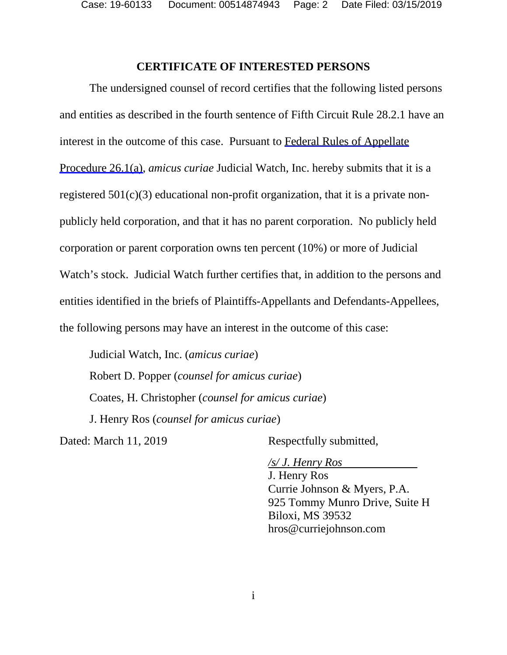Case: 19-60133 Document: 00514874943 Page: 2 Date Filed: 03/15/2019

#### **CERTIFICATE OF INTERESTED PERSONS**

The undersigned counsel of record certifies that the following listed persons and entities as described in the fourth sentence of Fifth Circuit Rule 28.2.1 have an interest in the outcome of this case. Pursuant to Federal Rules of Appellate Procedure 26.1(a), *amicus curiae* Judicial Watch, Inc. hereby submits that it is a registered  $501(c)(3)$  educational non-profit organization, that it is a private nonpublicly held corporation, and that it has no parent corporation. No publicly held corporation or parent corporation owns ten percent (10%) or more of Judicial Watch's stock. Judicial Watch further certifies that, in addition to the persons and entities identified in the briefs of Plaintiffs-Appellants and Defendants-Appellees, the following persons may have an interest in the outcome of this case:

Judicial Watch, Inc. (*amicus curiae*) Robert D. Popper (*counsel for amicus curiae*) Coates, H. Christopher (*counsel for amicus curiae*) J. Henry Ros (*counsel for amicus curiae*)

Dated: March 11, 2019 Respectfully submitted,

*/s/ J. Henry Ros* 

J. Henry Ros Currie Johnson & Myers, P.A. 925 Tommy Munro Drive, Suite H Biloxi, MS 39532 hros@curriejohnson.com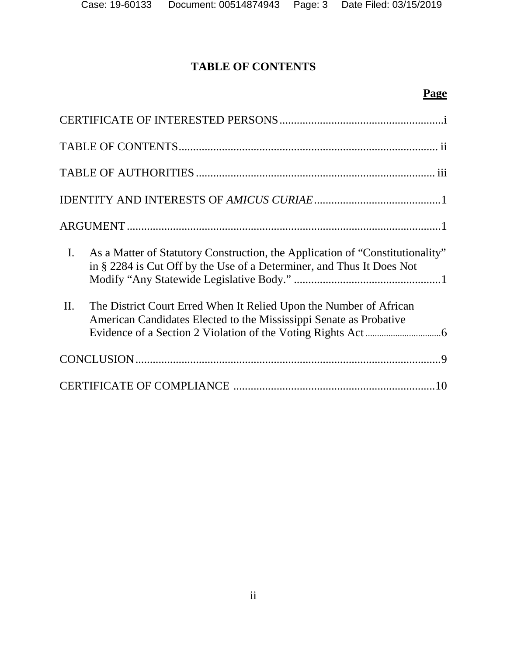# **TABLE OF CONTENTS**

# **Page**

| I. As a Matter of Statutory Construction, the Application of "Constitutionality"<br>in § 2284 is Cut Off by the Use of a Determiner, and Thus It Does Not |
|-----------------------------------------------------------------------------------------------------------------------------------------------------------|
| II.<br>The District Court Erred When It Relied Upon the Number of African<br>American Candidates Elected to the Mississippi Senate as Probative           |
|                                                                                                                                                           |
|                                                                                                                                                           |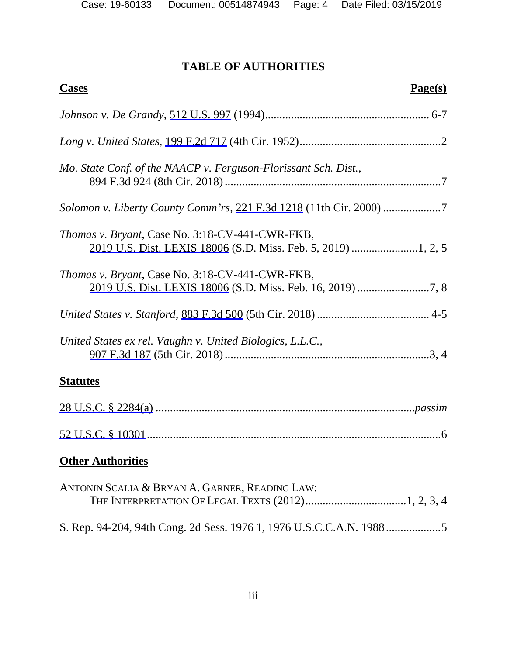# **TABLE OF AUTHORITIES**

| <b>Cases</b><br>Page(s)                                             |
|---------------------------------------------------------------------|
|                                                                     |
|                                                                     |
| Mo. State Conf. of the NAACP v. Ferguson-Florissant Sch. Dist.,     |
| Solomon v. Liberty County Comm'rs, 221 F.3d 1218 (11th Cir. 2000) 7 |
| Thomas v. Bryant, Case No. 3:18-CV-441-CWR-FKB,                     |
| <i>Thomas v. Bryant, Case No. 3:18-CV-441-CWR-FKB,</i>              |
|                                                                     |
| United States ex rel. Vaughn v. United Biologics, L.L.C.,           |
| <b>Statutes</b>                                                     |
|                                                                     |
|                                                                     |
| <b>Other Authorities</b>                                            |
| ANTONIN SCALIA & BRYAN A. GARNER, READING LAW:                      |
|                                                                     |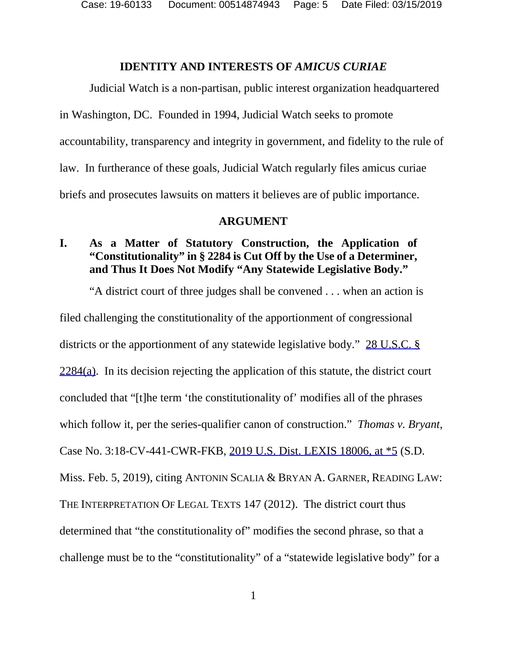### **IDENTITY AND INTERESTS OF** *AMICUS CURIAE*

Judicial Watch is a non-partisan, public interest organization headquartered in Washington, DC. Founded in 1994, Judicial Watch seeks to promote accountability, transparency and integrity in government, and fidelity to the rule of law. In furtherance of these goals, Judicial Watch regularly files amicus curiae briefs and prosecutes lawsuits on matters it believes are of public importance.

#### **ARGUMENT**

## **I. As a Matter of Statutory Construction, the Application of "Constitutionality" in § 2284 is Cut Off by the Use of a Determiner, and Thus It Does Not Modify "Any Statewide Legislative Body."**

"A district court of three judges shall be convened . . . when an action is filed challenging the constitutionality of the apportionment of congressional districts or the apportionment of any statewide legislative body." 28 U.S.C. §  $2284(a)$ . In its decision rejecting the application of this statute, the district court concluded that "[t]he term 'the constitutionality of' modifies all of the phrases which follow it, per the series-qualifier canon of construction." *Thomas v. Bryant*, Case No. 3:18-CV-441-CWR-FKB, 2019 U.S. Dist. LEXIS 18006, at \*5 (S.D. Miss. Feb. 5, 2019), citing ANTONIN SCALIA & BRYAN A. GARNER, READING LAW: THE INTERPRETATION OF LEGAL TEXTS 147 (2012). The district court thus determined that "the constitutionality of" modifies the second phrase, so that a challenge must be to the "constitutionality" of a "statewide legislative body" for a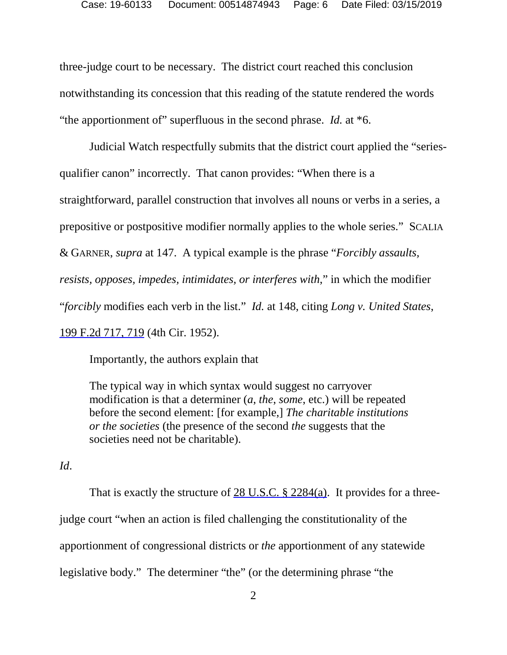three-judge court to be necessary. The district court reached this conclusion notwithstanding its concession that this reading of the statute rendered the words "the apportionment of" superfluous in the second phrase. *Id.* at \*6.

Judicial Watch respectfully submits that the district court applied the "seriesqualifier canon" incorrectly. That canon provides: "When there is a straightforward, parallel construction that involves all nouns or verbs in a series, a prepositive or postpositive modifier normally applies to the whole series." SCALIA & GARNER, *supra* at 147. A typical example is the phrase "*Forcibly assaults, resists, opposes, impedes, intimidates, or interferes with*," in which the modifier "*forcibly* modifies each verb in the list." *Id.* at 148, citing *Long v. United States*, 199 F.2d 717, 719 (4th Cir. 1952).

Importantly, the authors explain that

The typical way in which syntax would suggest no carryover modification is that a determiner (*a*, *the*, *some*, etc.) will be repeated before the second element: [for example,] *The charitable institutions or the societies* (the presence of the second *the* suggests that the societies need not be charitable).

*Id*.

That is exactly the structure of 28 U.S.C. § 2284(a). It provides for a threejudge court "when an action is filed challenging the constitutionality of the apportionment of congressional districts or *the* apportionment of any statewide legislative body." The determiner "the" (or the determining phrase "the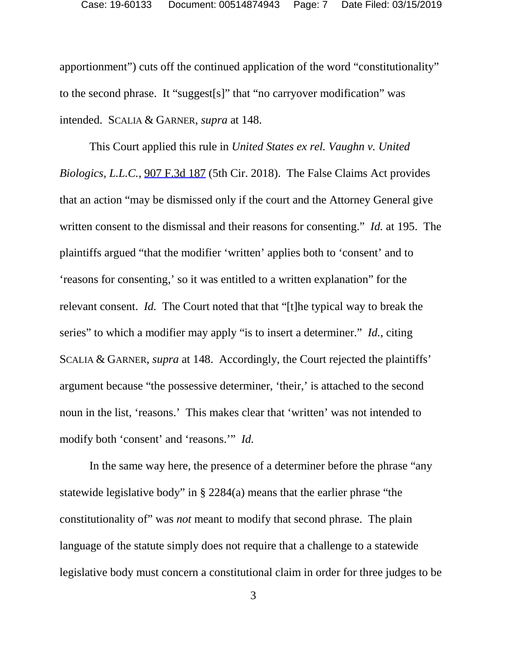apportionment") cuts off the continued application of the word "constitutionality" to the second phrase. It "suggest[s]" that "no carryover modification" was intended. SCALIA & GARNER, *supra* at 148.

This Court applied this rule in *United States ex rel. Vaughn v. United Biologics, L.L.C.*, 907 F.3d 187 (5th Cir. 2018). The False Claims Act provides that an action "may be dismissed only if the court and the Attorney General give written consent to the dismissal and their reasons for consenting." *Id.* at 195. The plaintiffs argued "that the modifier 'written' applies both to 'consent' and to 'reasons for consenting,' so it was entitled to a written explanation" for the relevant consent. *Id.* The Court noted that that "[t]he typical way to break the series" to which a modifier may apply "is to insert a determiner." *Id.*, citing SCALIA & GARNER, *supra* at 148. Accordingly, the Court rejected the plaintiffs' argument because "the possessive determiner, 'their,' is attached to the second noun in the list, 'reasons.' This makes clear that 'written' was not intended to modify both 'consent' and 'reasons.'" *Id.*

In the same way here, the presence of a determiner before the phrase "any statewide legislative body" in § 2284(a) means that the earlier phrase "the constitutionality of" was *not* meant to modify that second phrase. The plain language of the statute simply does not require that a challenge to a statewide legislative body must concern a constitutional claim in order for three judges to be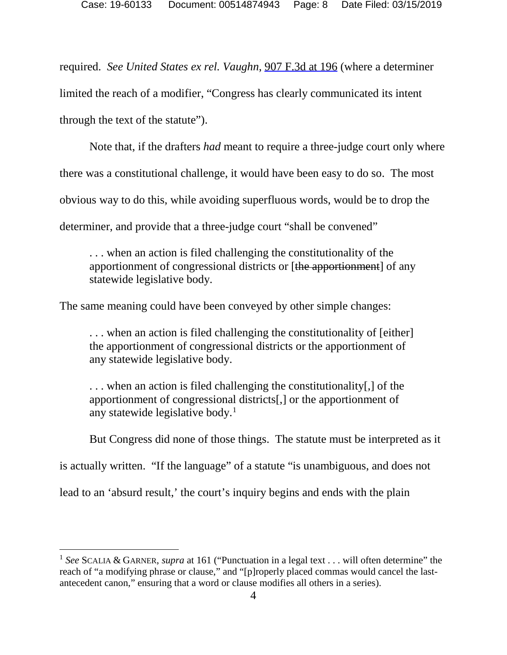required. *See United States ex rel. Vaughn*, 907 F.3d at 196 (where a determiner limited the reach of a modifier, "Congress has clearly communicated its intent through the text of the statute").

Note that, if the drafters *had* meant to require a three-judge court only where there was a constitutional challenge, it would have been easy to do so. The most obvious way to do this, while avoiding superfluous words, would be to drop the determiner, and provide that a three-judge court "shall be convened"

. . . when an action is filed challenging the constitutionality of the apportionment of congressional districts or [the apportionment] of any statewide legislative body.

The same meaning could have been conveyed by other simple changes:

. . . when an action is filed challenging the constitutionality of [either] the apportionment of congressional districts or the apportionment of any statewide legislative body.

. . . when an action is filed challenging the constitutionality[,] of the apportionment of congressional districts[,] or the apportionment of any statewide legislative body. $<sup>1</sup>$  $<sup>1</sup>$  $<sup>1</sup>$ </sup>

But Congress did none of those things. The statute must be interpreted as it

is actually written. "If the language" of a statute "is unambiguous, and does not

lead to an 'absurd result,' the court's inquiry begins and ends with the plain

l

<span id="page-7-0"></span><sup>1</sup> *See* SCALIA & GARNER, *supra* at 161 ("Punctuation in a legal text . . . will often determine" the reach of "a modifying phrase or clause," and "[p]roperly placed commas would cancel the lastantecedent canon," ensuring that a word or clause modifies all others in a series).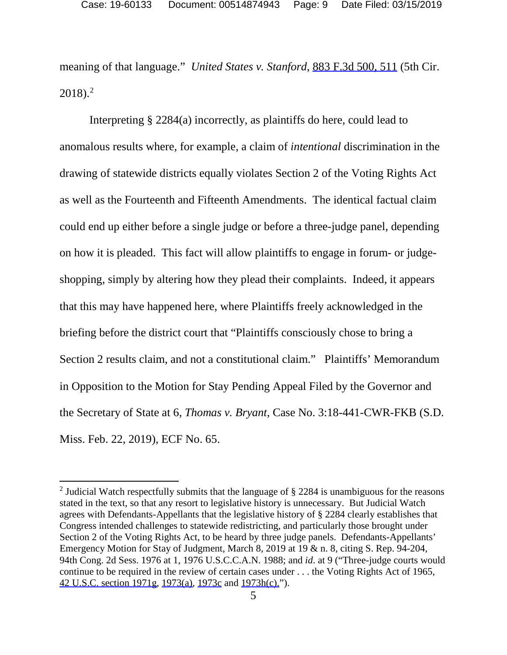meaning of that language." *United States v. Stanford*, 883 F.3d 500, 511 (5th Cir.  $2018$  $2018$ .<sup>2</sup>

Interpreting § 2284(a) incorrectly, as plaintiffs do here, could lead to anomalous results where, for example, a claim of *intentional* discrimination in the drawing of statewide districts equally violates Section 2 of the Voting Rights Act as well as the Fourteenth and Fifteenth Amendments. The identical factual claim could end up either before a single judge or before a three-judge panel, depending on how it is pleaded. This fact will allow plaintiffs to engage in forum- or judgeshopping, simply by altering how they plead their complaints. Indeed, it appears that this may have happened here, where Plaintiffs freely acknowledged in the briefing before the district court that "Plaintiffs consciously chose to bring a Section 2 results claim, and not a constitutional claim." Plaintiffs' Memorandum in Opposition to the Motion for Stay Pending Appeal Filed by the Governor and the Secretary of State at 6, *Thomas v. Bryant*, Case No. 3:18-441-CWR-FKB (S.D. Miss. Feb. 22, 2019), ECF No. 65.

 $\overline{\phantom{a}}$ 

<span id="page-8-0"></span><sup>&</sup>lt;sup>2</sup> Judicial Watch respectfully submits that the language of  $\S$  2284 is unambiguous for the reasons stated in the text, so that any resort to legislative history is unnecessary. But Judicial Watch agrees with Defendants-Appellants that the legislative history of § 2284 clearly establishes that Congress intended challenges to statewide redistricting, and particularly those brought under Section 2 of the Voting Rights Act, to be heard by three judge panels. Defendants-Appellants' Emergency Motion for Stay of Judgment, March 8, 2019 at 19 & n. 8, citing S. Rep. 94-204, 94th Cong. 2d Sess. 1976 at 1, 1976 U.S.C.C.A.N. 1988; and *id*. at 9 ("Three-judge courts would continue to be required in the review of certain cases under . . . the Voting Rights Act of 1965, 42 U.S.C. section 1971g, 1973(a), 1973c and 1973h(c).").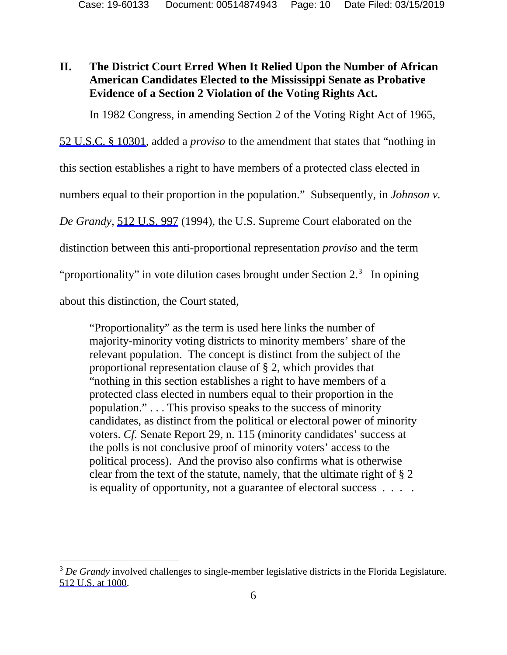## **II. The District Court Erred When It Relied Upon the Number of African American Candidates Elected to the Mississippi Senate as Probative Evidence of a Section 2 Violation of the Voting Rights Act.**

In 1982 Congress, in amending Section 2 of the Voting Right Act of 1965,

52 U.S.C. § 10301, added a *proviso* to the amendment that states that "nothing in

this section establishes a right to have members of a protected class elected in

numbers equal to their proportion in the population." Subsequently, in *Johnson v.* 

*De Grandy*, 512 U.S. 997 (1994), the U.S. Supreme Court elaborated on the

distinction between this anti-proportional representation *proviso* and the term

"proportionality" in vote dilution cases brought under Section  $2^3$  $2^3$ . In opining

about this distinction, the Court stated,

l

"Proportionality" as the term is used here links the number of majority-minority voting districts to minority members' share of the relevant population. The concept is distinct from the subject of the proportional representation clause of § 2, which provides that "nothing in this section establishes a right to have members of a protected class elected in numbers equal to their proportion in the population." . . . This proviso speaks to the success of minority candidates, as distinct from the political or electoral power of minority voters. *Cf.* Senate Report 29, n. 115 (minority candidates' success at the polls is not conclusive proof of minority voters' access to the political process). And the proviso also confirms what is otherwise clear from the text of the statute, namely, that the ultimate right of § 2 is equality of opportunity, not a guarantee of electoral success . . . .

<span id="page-9-0"></span><sup>&</sup>lt;sup>3</sup> De Grandy involved challenges to single-member legislative districts in the Florida Legislature. 512 U.S. at 1000.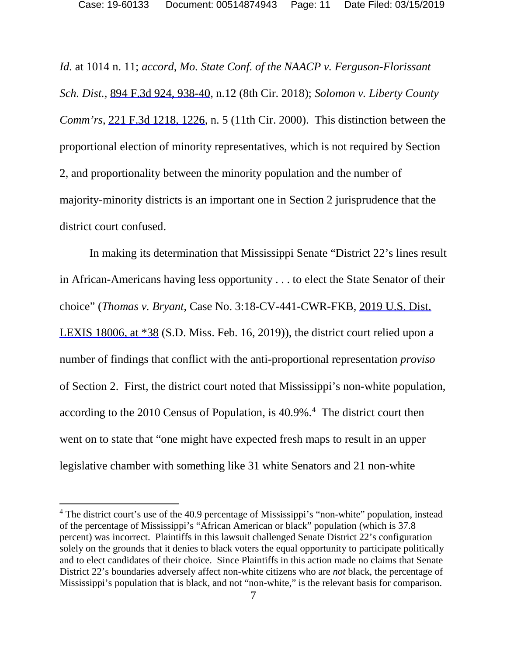*Id.* at 1014 n. 11; *accord*, *Mo. State Conf. of the NAACP v. Ferguson-Florissant Sch. Dist.*, 894 F.3d 924, 938-40, n.12 (8th Cir. 2018); *Solomon v. Liberty County Comm'rs*, 221 F.3d 1218, 1226, n. 5 (11th Cir. 2000). This distinction between the proportional election of minority representatives, which is not required by Section 2, and proportionality between the minority population and the number of majority-minority districts is an important one in Section 2 jurisprudence that the district court confused.

In making its determination that Mississippi Senate "District 22's lines result in African-Americans having less opportunity . . . to elect the State Senator of their choice" (*Thomas v. Bryant*, Case No. 3:18-CV-441-CWR-FKB, 2019 U.S. Dist. LEXIS 18006, at \*38 (S.D. Miss. Feb. 16, 2019)), the district court relied upon a number of findings that conflict with the anti-proportional representation *proviso* of Section 2. First, the district court noted that Mississippi's non-white population, according to the 2010 Census of Population, is [4](#page-10-0)0.9%.<sup>4</sup> The district court then went on to state that "one might have expected fresh maps to result in an upper legislative chamber with something like 31 white Senators and 21 non-white

l

<span id="page-10-0"></span><sup>&</sup>lt;sup>4</sup> The district court's use of the 40.9 percentage of Mississippi's "non-white" population, instead of the percentage of Mississippi's "African American or black" population (which is 37.8 percent) was incorrect. Plaintiffs in this lawsuit challenged Senate District 22's configuration solely on the grounds that it denies to black voters the equal opportunity to participate politically and to elect candidates of their choice. Since Plaintiffs in this action made no claims that Senate District 22's boundaries adversely affect non-white citizens who are *not* black, the percentage of Mississippi's population that is black, and not "non-white," is the relevant basis for comparison.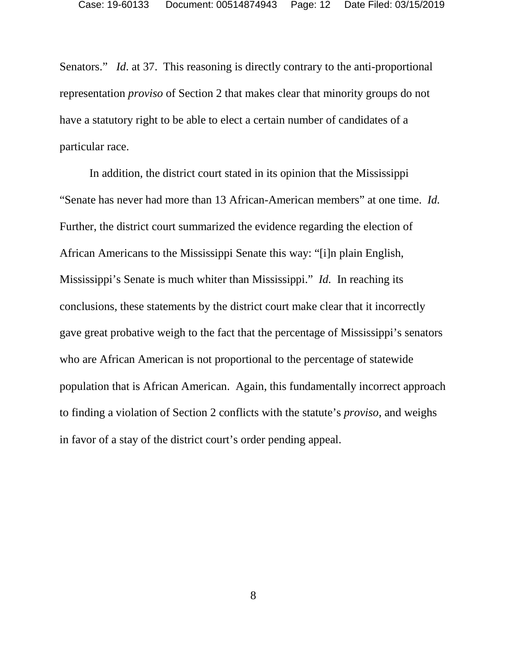Senators." *Id.* at 37. This reasoning is directly contrary to the anti-proportional representation *proviso* of Section 2 that makes clear that minority groups do not have a statutory right to be able to elect a certain number of candidates of a particular race.

In addition, the district court stated in its opinion that the Mississippi "Senate has never had more than 13 African-American members" at one time. *Id.*  Further, the district court summarized the evidence regarding the election of African Americans to the Mississippi Senate this way: "[i]n plain English, Mississippi's Senate is much whiter than Mississippi." *Id.* In reaching its conclusions, these statements by the district court make clear that it incorrectly gave great probative weigh to the fact that the percentage of Mississippi's senators who are African American is not proportional to the percentage of statewide population that is African American. Again, this fundamentally incorrect approach to finding a violation of Section 2 conflicts with the statute's *proviso*, and weighs in favor of a stay of the district court's order pending appeal.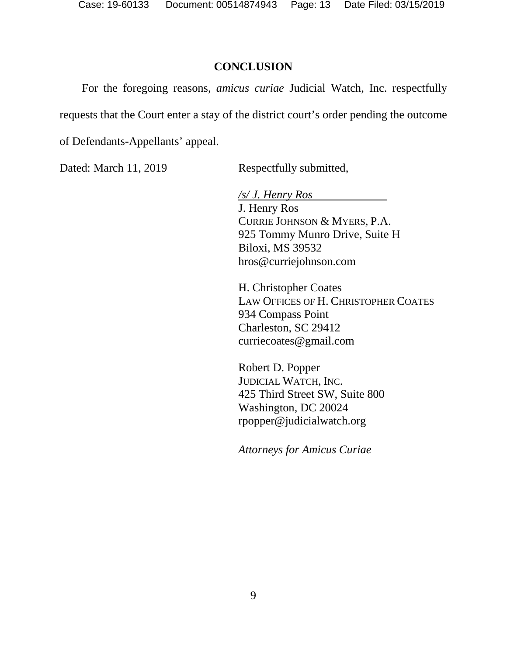### **CONCLUSION**

For the foregoing reasons, *amicus curiae* Judicial Watch, Inc. respectfully requests that the Court enter a stay of the district court's order pending the outcome

of Defendants-Appellants' appeal.

Dated: March 11, 2019 Respectfully submitted,

*/s/ J. Henry Ros*  J. Henry Ros CURRIE JOHNSON & MYERS, P.A. 925 Tommy Munro Drive, Suite H Biloxi, MS 39532 hros@curriejohnson.com

H. Christopher Coates LAW OFFICES OF H. CHRISTOPHER COATES 934 Compass Point Charleston, SC 29412 curriecoates@gmail.com

Robert D. Popper JUDICIAL WATCH, INC. 425 Third Street SW, Suite 800 Washington, DC 20024 rpopper@judicialwatch.org

*Attorneys for Amicus Curiae*